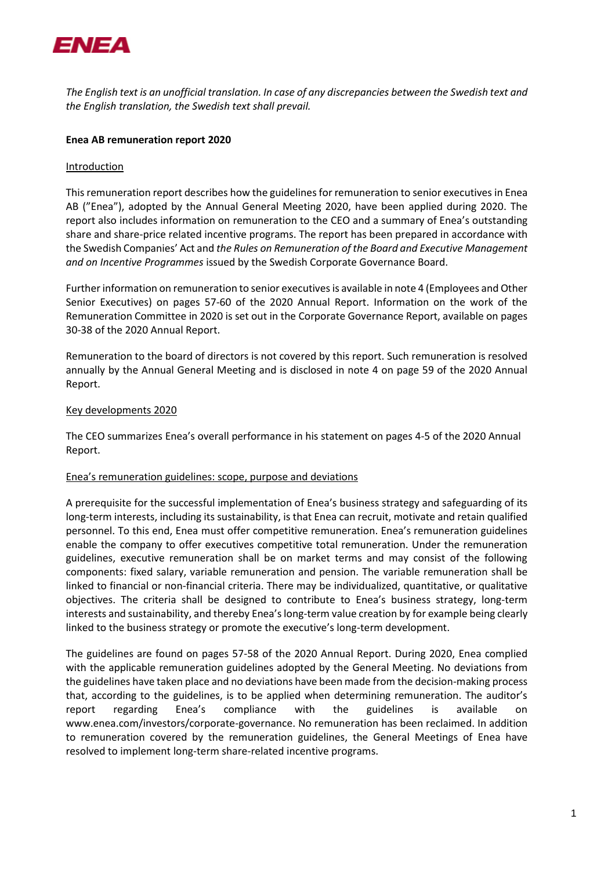

*The English text is an unofficial translation. In case of any discrepancies between the Swedish text and the English translation, the Swedish text shall prevail.*

## **Enea AB remuneration report 2020**

## Introduction

This remuneration report describes how the guidelines for remuneration to senior executives in Enea AB ("Enea"), adopted by the Annual General Meeting 2020, have been applied during 2020. The report also includes information on remuneration to the CEO and a summary of Enea's outstanding share and share-price related incentive programs. The report has been prepared in accordance with the Swedish Companies' Act and *the Rules on Remuneration of the Board and Executive Management and on Incentive Programmes* issued by the Swedish Corporate Governance Board.

Further information on remuneration to senior executivesis available in note 4 (Employees and Other Senior Executives) on pages 57-60 of the 2020 Annual Report. Information on the work of the Remuneration Committee in 2020 is set out in the Corporate Governance Report, available on pages 30-38 of the 2020 Annual Report.

Remuneration to the board of directors is not covered by this report. Such remuneration is resolved annually by the Annual General Meeting and is disclosed in note 4 on page 59 of the 2020 Annual Report.

# Key developments 2020

The CEO summarizes Enea's overall performance in his statement on pages 4-5 of the 2020 Annual Report.

## Enea's remuneration guidelines: scope, purpose and deviations

A prerequisite for the successful implementation of Enea's business strategy and safeguarding of its long-term interests, including its sustainability, is that Enea can recruit, motivate and retain qualified personnel. To this end, Enea must offer competitive remuneration. Enea's remuneration guidelines enable the company to offer executives competitive total remuneration. Under the remuneration guidelines, executive remuneration shall be on market terms and may consist of the following components: fixed salary, variable remuneration and pension. The variable remuneration shall be linked to financial or non-financial criteria. There may be individualized, quantitative, or qualitative objectives. The criteria shall be designed to contribute to Enea's business strategy, long-term interests and sustainability, and thereby Enea's long-term value creation by for example being clearly linked to the business strategy or promote the executive's long-term development.

The guidelines are found on pages 57-58 of the 2020 Annual Report. During 2020, Enea complied with the applicable remuneration guidelines adopted by the General Meeting. No deviations from the guidelines have taken place and no deviations have been made from the decision-making process that, according to the guidelines, is to be applied when determining remuneration. The auditor's report regarding Enea's compliance with the guidelines is available www.enea.com/investors/corporate-governance. No remuneration has been reclaimed. In addition to remuneration covered by the remuneration guidelines, the General Meetings of Enea have resolved to implement long-term share-related incentive programs.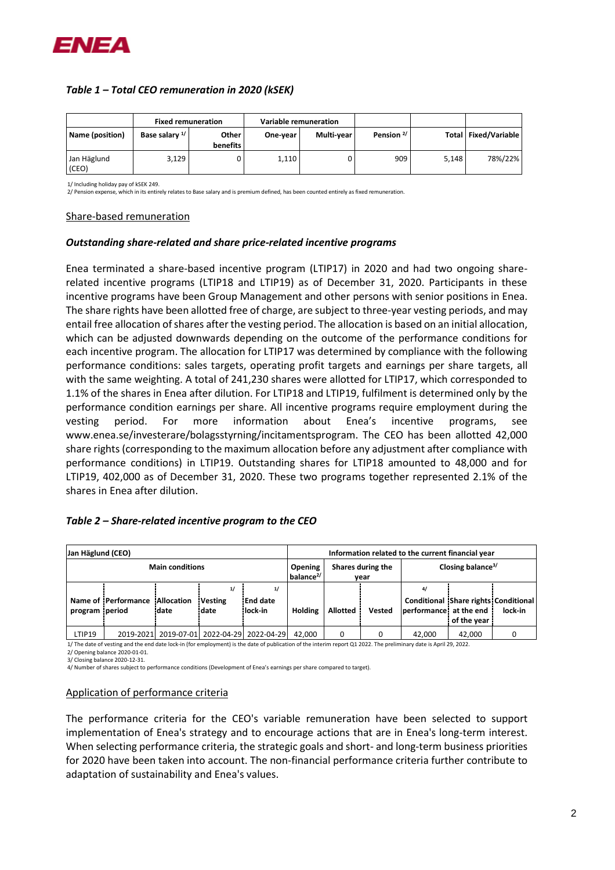

# *Table 1 – Total CEO remuneration in 2020 (kSEK)*

|                      | <b>Fixed remuneration</b> |                   |          | Variable remuneration |                       |       |                        |
|----------------------|---------------------------|-------------------|----------|-----------------------|-----------------------|-------|------------------------|
| Name (position)      | Base salary <sup>1/</sup> | Other<br>benefits | One-year | Multi-year            | Pension <sup>2/</sup> |       | Total   Fixed/Variable |
| Jan Häglund<br>(CEO) | 3,129                     |                   | 1,110    |                       | 909                   | 5.148 | 78%/22%                |

1/ Including holiday pay of kSEK 249.

2/ Pension expense, which in its entirely relates to Base salary and is premium defined, has been counted entirely as fixed remuneration.

#### Share-based remuneration

#### *Outstanding share-related and share price-related incentive programs*

Enea terminated a share-based incentive program (LTIP17) in 2020 and had two ongoing sharerelated incentive programs (LTIP18 and LTIP19) as of December 31, 2020. Participants in these incentive programs have been Group Management and other persons with senior positions in Enea. The share rights have been allotted free of charge, are subject to three-year vesting periods, and may entail free allocation of shares after the vesting period. The allocation is based on an initial allocation, which can be adjusted downwards depending on the outcome of the performance conditions for each incentive program. The allocation for LTIP17 was determined by compliance with the following performance conditions: sales targets, operating profit targets and earnings per share targets, all with the same weighting. A total of 241,230 shares were allotted for LTIP17, which corresponded to 1.1% of the shares in Enea after dilution. For LTIP18 and LTIP19, fulfilment is determined only by the performance condition earnings per share. All incentive programs require employment during the vesting period. For more information about Enea's incentive programs, see www.enea.se/investerare/bolagsstyrning/incitamentsprogram. The CEO has been allotted 42,000 share rights (corresponding to the maximum allocation before any adjustment after compliance with performance conditions) in LTIP19. Outstanding shares for LTIP18 amounted to 48,000 and for LTIP19, 402,000 as of December 31, 2020. These two programs together represented 2.1% of the shares in Enea after dilution.

## *Table 2 – Share-related incentive program to the CEO*

| Jan Häglund (CEO)      |                     |                           |                                         | Information related to the current financial year |                           |                               |               |                                                                      |             |         |
|------------------------|---------------------|---------------------------|-----------------------------------------|---------------------------------------------------|---------------------------|-------------------------------|---------------|----------------------------------------------------------------------|-------------|---------|
| <b>Main conditions</b> |                     |                           | <b>Opening</b><br>balance <sup>2/</sup> |                                                   | Shares during the<br>year | Closing balance <sup>3/</sup> |               |                                                                      |             |         |
| program period         | Name of Performance | <b>Allocation</b><br>date | 1/<br><b>Vesting</b><br>date            | 1/<br>End date<br>lock in                         | <b>Holding</b>            | <b>Allotted</b>               | <b>Vested</b> | 4/<br>Conditional Share rights Conditional<br>performance at the end | of the year | lock-in |
| LTIP19                 | 2019-2021           |                           | 2019-07-01 2022-04-29 2022-04-29        |                                                   | 42.000                    | 0                             |               | 42.000                                                               | 42.000      |         |

1/ The date of vesting and the end date lock-in (for employment) is the date of publication of the interim report Q1 2022. The preliminary date is April 29, 2022.

2/ Opening balance 2020-01-01.

3/ Closing balance 2020-12-31.

4/ Number of shares subject to performance conditions (Development of Enea's earnings per share compared to target).

#### Application of performance criteria

The performance criteria for the CEO's variable remuneration have been selected to support implementation of Enea's strategy and to encourage actions that are in Enea's long-term interest. When selecting performance criteria, the strategic goals and short- and long-term business priorities for 2020 have been taken into account. The non-financial performance criteria further contribute to adaptation of sustainability and Enea's values.